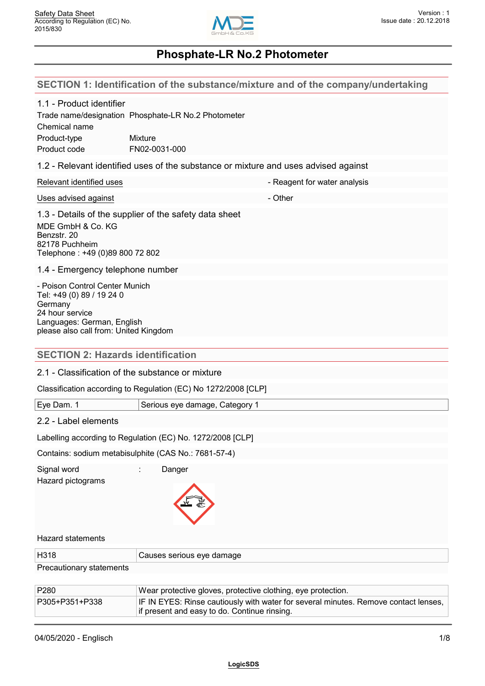

| SECTION 1: Identification of the substance/mixture and of the company/undertaking |  |
|-----------------------------------------------------------------------------------|--|
|                                                                                   |  |

| 1.1 - Product identifier<br>Chemical name<br>Product-type<br>Product code                                                                                        | Trade name/designation Phosphate-LR No.2 Photometer<br>Mixture<br>FN02-0031-000     |
|------------------------------------------------------------------------------------------------------------------------------------------------------------------|-------------------------------------------------------------------------------------|
|                                                                                                                                                                  | 1.2 - Relevant identified uses of the substance or mixture and uses advised against |
| Relevant identified uses                                                                                                                                         | - Reagent for water analysis                                                        |
| Uses advised against                                                                                                                                             | - Other                                                                             |
| MDE GmbH & Co. KG<br>Benzstr. 20<br>82178 Puchheim<br>Telephone: +49 (0)89 800 72 802                                                                            | 1.3 - Details of the supplier of the safety data sheet                              |
| 1.4 - Emergency telephone number                                                                                                                                 |                                                                                     |
| - Poison Control Center Munich<br>Tel: +49 (0) 89 / 19 24 0<br>Germany<br>24 hour service<br>Languages: German, English<br>please also call from: United Kingdom |                                                                                     |
| <b>SECTION 2: Hazards identification</b>                                                                                                                         |                                                                                     |
|                                                                                                                                                                  | 2.1 - Classification of the substance or mixture                                    |
|                                                                                                                                                                  | Classification according to Regulation (EC) No 1272/2008 [CLP]                      |
| Eye Dam. 1                                                                                                                                                       | Serious eye damage, Category 1                                                      |
| 2.2 - Label elements                                                                                                                                             |                                                                                     |
|                                                                                                                                                                  | Labelling according to Regulation (EC) No. 1272/2008 [CLP]                          |
|                                                                                                                                                                  | Contains: sodium metabisulphite (CAS No.: 7681-57-4)                                |
| Signal word<br>Hazard pictograms                                                                                                                                 | Danger                                                                              |
| <b>Hazard statements</b>                                                                                                                                         |                                                                                     |
| H318                                                                                                                                                             | Causes serious eye damage                                                           |
| Precautionary statements                                                                                                                                         |                                                                                     |
| P280                                                                                                                                                             | Wear protective gloves, protective clothing, eye protection.                        |

P305+P351+P338 IF IN EYES: Rinse cautiously with water for several minutes. Remove contact lenses,

if present and easy to do. Continue rinsing.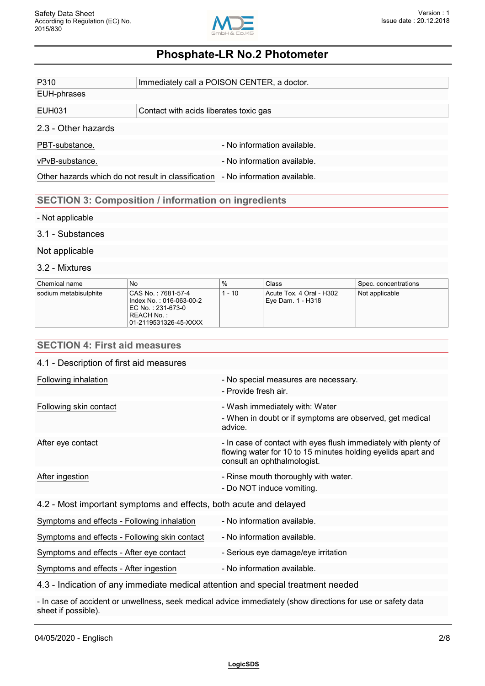

| P310                                                | Immediately call a POISON CENTER, a doctor.                |
|-----------------------------------------------------|------------------------------------------------------------|
| EUH-phrases                                         |                                                            |
|                                                     |                                                            |
| EUH031                                              | Contact with acids liberates toxic gas                     |
| 2.3 - Other hazards                                 |                                                            |
| PBT-substance.                                      | - No information available.                                |
| vPvB-substance.                                     | - No information available.                                |
| Other hazards which do not result in classification | - No information available.                                |
|                                                     |                                                            |
|                                                     | <b>SECTION 3: Composition / information on ingredients</b> |

#### - Not applicable

#### 3.1 - Substances

#### Not applicable

#### 3.2 - Mixtures

| Chemical name         | No                                                                                                                  | %    | Class                                         | Spec. concentrations |
|-----------------------|---------------------------------------------------------------------------------------------------------------------|------|-----------------------------------------------|----------------------|
| sodium metabisulphite | CAS No.: 7681-57-4<br>l Index No. : 016-063-00-2<br>l EC No. : 231-673-0 ∣<br>REACH No. :-<br>01-2119531326-45-XXXX | - 10 | Acute Tox. 4 Oral - H302<br>Eye Dam. 1 - H318 | Not applicable       |

## **SECTION 4: First aid measures**

| 4.1 - Description of first aid measures |
|-----------------------------------------|
|-----------------------------------------|

| Following inhalation                                              | - No special measures are necessary.<br>- Provide fresh air.                                                                                                   |
|-------------------------------------------------------------------|----------------------------------------------------------------------------------------------------------------------------------------------------------------|
| Following skin contact                                            | - Wash immediately with: Water<br>- When in doubt or if symptoms are observed, get medical<br>advice.                                                          |
| After eye contact                                                 | - In case of contact with eyes flush immediately with plenty of<br>flowing water for 10 to 15 minutes holding eyelids apart and<br>consult an ophthalmologist. |
| After ingestion                                                   | - Rinse mouth thoroughly with water.<br>- Do NOT induce vomiting.                                                                                              |
| 4.2 - Most important symptoms and effects, both acute and delayed |                                                                                                                                                                |
| Symptoms and effects - Following inhalation                       | - No information available.                                                                                                                                    |
| Symptoms and effects - Following skin contact                     | - No information available.                                                                                                                                    |
| Symptoms and effects - After eye contact                          | - Serious eye damage/eye irritation                                                                                                                            |

Symptoms and effects - After ingestion - No information available.

4.3 - Indication of any immediate medical attention and special treatment needed

- In case of accident or unwellness, seek medical advice immediately (show directions for use or safety data sheet if possible).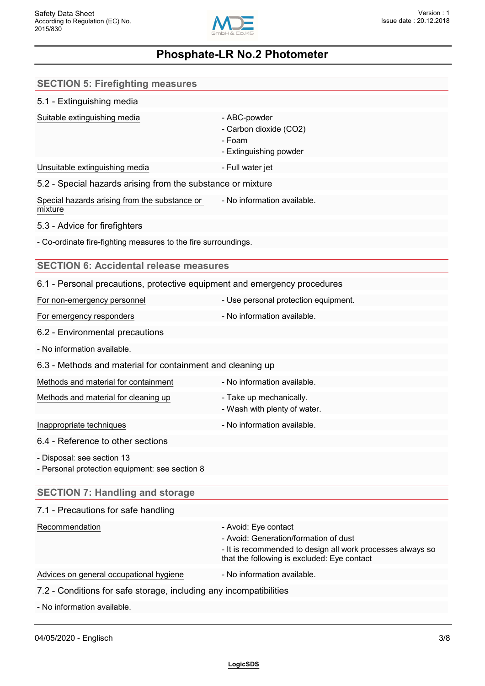

| <b>SECTION 5: Firefighting measures</b>                                      |                                                                                                                                                                            |
|------------------------------------------------------------------------------|----------------------------------------------------------------------------------------------------------------------------------------------------------------------------|
| 5.1 - Extinguishing media                                                    |                                                                                                                                                                            |
| Suitable extinguishing media                                                 | - ABC-powder<br>- Carbon dioxide (CO2)<br>- Foam<br>- Extinguishing powder                                                                                                 |
| Unsuitable extinguishing media                                               | - Full water jet                                                                                                                                                           |
| 5.2 - Special hazards arising from the substance or mixture                  |                                                                                                                                                                            |
| Special hazards arising from the substance or<br>mixture                     | - No information available.                                                                                                                                                |
| 5.3 - Advice for firefighters                                                |                                                                                                                                                                            |
| - Co-ordinate fire-fighting measures to the fire surroundings.               |                                                                                                                                                                            |
| <b>SECTION 6: Accidental release measures</b>                                |                                                                                                                                                                            |
| 6.1 - Personal precautions, protective equipment and emergency procedures    |                                                                                                                                                                            |
| For non-emergency personnel                                                  | - Use personal protection equipment.                                                                                                                                       |
| For emergency responders                                                     | - No information available.                                                                                                                                                |
| 6.2 - Environmental precautions                                              |                                                                                                                                                                            |
| - No information available.                                                  |                                                                                                                                                                            |
| 6.3 - Methods and material for containment and cleaning up                   |                                                                                                                                                                            |
| Methods and material for containment                                         | - No information available.                                                                                                                                                |
| Methods and material for cleaning up                                         | - Take up mechanically.<br>- Wash with plenty of water.                                                                                                                    |
| Inappropriate techniques                                                     | - No information available.                                                                                                                                                |
| 6.4 - Reference to other sections                                            |                                                                                                                                                                            |
| - Disposal: see section 13<br>- Personal protection equipment: see section 8 |                                                                                                                                                                            |
| <b>SECTION 7: Handling and storage</b>                                       |                                                                                                                                                                            |
| 7.1 - Precautions for safe handling                                          |                                                                                                                                                                            |
| Recommendation                                                               | - Avoid: Eye contact<br>- Avoid: Generation/formation of dust<br>- It is recommended to design all work processes always so<br>that the following is excluded: Eye contact |
| Advices on general occupational hygiene                                      | - No information available.                                                                                                                                                |
| 7.2 - Conditions for safe storage, including any incompatibilities           |                                                                                                                                                                            |
| - No information available.                                                  |                                                                                                                                                                            |
|                                                                              |                                                                                                                                                                            |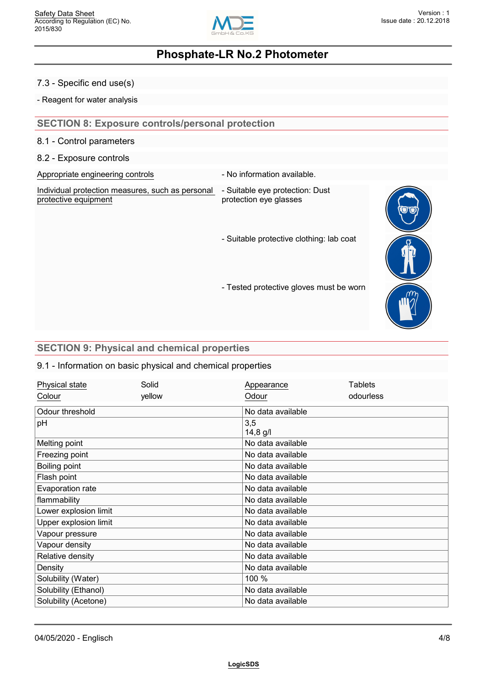

#### 7.3 - Specific end use(s)

- Reagent for water analysis

### **SECTION 8: Exposure controls/personal protection**

8.1 - Control parameters

#### 8.2 - Exposure controls

Appropriate engineering controls **Auditor** - No information available.

| Individual protection measures, such as personal - Suitable eye protection: Dust |                        |  |
|----------------------------------------------------------------------------------|------------------------|--|
| protective equipment                                                             | protection eye glasses |  |

- protection eye glasses
- Suitable protective clothing: lab coat



### - Tested protective gloves must be worn

### **SECTION 9: Physical and chemical properties**

#### 9.1 - Information on basic physical and chemical properties

| Physical state        | Solid  | Appearance        | Tablets   |  |
|-----------------------|--------|-------------------|-----------|--|
| Colour                | yellow | Odour             | odourless |  |
| Odour threshold       |        | No data available |           |  |
| pH                    |        | 3,5<br>$14,8$ g/l |           |  |
| Melting point         |        | No data available |           |  |
| Freezing point        |        | No data available |           |  |
| Boiling point         |        | No data available |           |  |
| Flash point           |        | No data available |           |  |
| Evaporation rate      |        | No data available |           |  |
| flammability          |        | No data available |           |  |
| Lower explosion limit |        | No data available |           |  |
| Upper explosion limit |        | No data available |           |  |
| Vapour pressure       |        | No data available |           |  |
| Vapour density        |        | No data available |           |  |
| Relative density      |        | No data available |           |  |
| Density               |        | No data available |           |  |
| Solubility (Water)    |        | 100 %             |           |  |
| Solubility (Ethanol)  |        | No data available |           |  |
| Solubility (Acetone)  |        | No data available |           |  |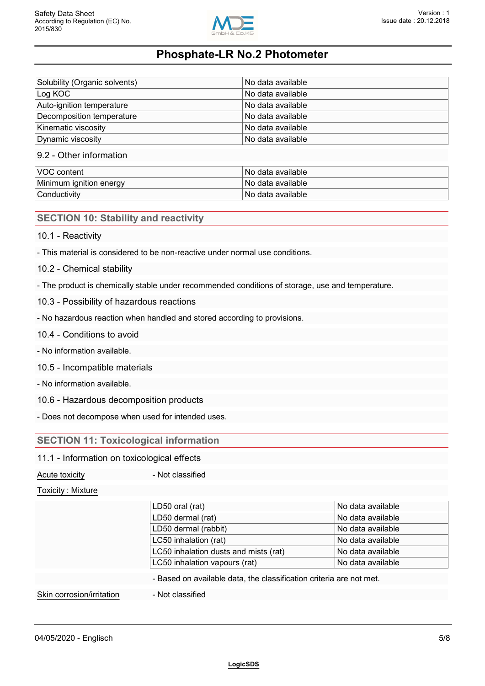

| Solubility (Organic solvents) | ⊟No data available l |
|-------------------------------|----------------------|
| Log KOC                       | l No data available. |
| Auto-ignition temperature     | No data available    |
| Decomposition temperature     | No data available    |
| Kinematic viscosity           | No data available    |
| Dynamic viscosity             | No data available    |

#### 9.2 - Other information

| <b>VOC content</b>      | ⊺No data available ∶ |
|-------------------------|----------------------|
| Minimum ignition energy | l No data available. |
| Conductivity            | l No data available. |

### **SECTION 10: Stability and reactivity**

#### 10.1 - Reactivity

- This material is considered to be non-reactive under normal use conditions.

- 10.2 Chemical stability
- The product is chemically stable under recommended conditions of storage, use and temperature.
- 10.3 Possibility of hazardous reactions
- No hazardous reaction when handled and stored according to provisions.
- 10.4 Conditions to avoid
- No information available.
- 10.5 Incompatible materials
- No information available.
- 10.6 Hazardous decomposition products
- Does not decompose when used for intended uses.

#### **SECTION 11: Toxicological information**

#### 11.1 - Information on toxicological effects

Acute toxicity **Acute toxicity Acute toxicity Acute 1** 

Toxicity : Mixture

|                           | LD50 oral (rat)                                                     | No data available |
|---------------------------|---------------------------------------------------------------------|-------------------|
|                           | LD50 dermal (rat)                                                   | No data available |
|                           | LD50 dermal (rabbit)                                                | No data available |
|                           | LC50 inhalation (rat)                                               | No data available |
|                           | LC50 inhalation dusts and mists (rat)                               | No data available |
|                           | LC50 inhalation vapours (rat)                                       | No data available |
|                           | - Based on available data, the classification criteria are not met. |                   |
| Skin corrosion/irritation | - Not classified                                                    |                   |
|                           |                                                                     |                   |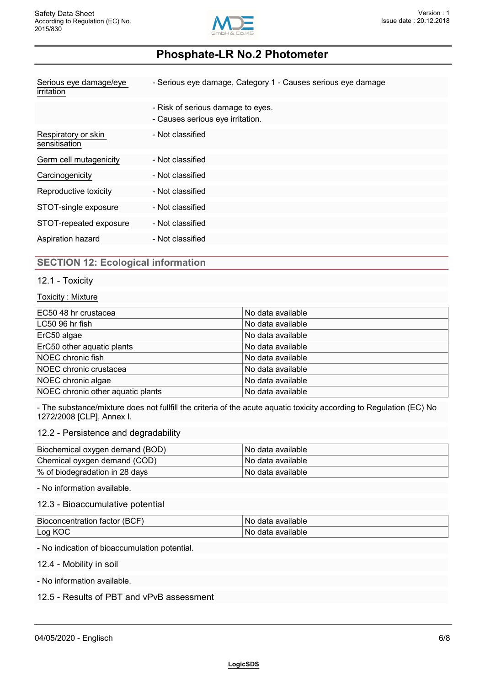

| Serious eye damage/eye<br>irritation | - Serious eye damage, Category 1 - Causes serious eye damage          |  |
|--------------------------------------|-----------------------------------------------------------------------|--|
|                                      | - Risk of serious damage to eyes.<br>- Causes serious eye irritation. |  |
| Respiratory or skin<br>sensitisation | - Not classified                                                      |  |
| Germ cell mutagenicity               | - Not classified                                                      |  |
| Carcinogenicity                      | - Not classified                                                      |  |
| Reproductive toxicity                | - Not classified                                                      |  |
| STOT-single exposure                 | - Not classified                                                      |  |
| STOT-repeated exposure               | - Not classified                                                      |  |
| Aspiration hazard                    | - Not classified                                                      |  |

### **SECTION 12: Ecological information**

#### 12.1 - Toxicity

#### Toxicity : Mixture

| EC50 48 hr crustacea              | No data available |
|-----------------------------------|-------------------|
| LC50 96 hr fish                   | No data available |
| ErC50 algae                       | No data available |
| ErC50 other aquatic plants        | No data available |
| NOEC chronic fish                 | No data available |
| NOEC chronic crustacea            | No data available |
| NOEC chronic algae                | No data available |
| NOEC chronic other aquatic plants | No data available |

- The substance/mixture does not fullfill the criteria of the acute aquatic toxicity according to Regulation (EC) No 1272/2008 [CLP], Annex I.

#### 12.2 - Persistence and degradability

| Biochemical oxygen demand (BOD) | ∣No data available∶ |
|---------------------------------|---------------------|
| Chemical oyxgen demand (COD)    | ∣No data available∶ |
| % of biodegradation in 28 days  | ∣No data available∶ |

- No information available.

#### 12.3 - Bioaccumulative potential

| <b>Bio</b><br>$\sim$ $\sim$<br>76 K<br>ансте<br>ант<br>. 21<br>- | 'ailable<br>N  |
|------------------------------------------------------------------|----------------|
| .00<br>м<br>--                                                   | `′allable<br>N |

- No indication of bioaccumulation potential.

12.4 - Mobility in soil

- No information available.

12.5 - Results of PBT and vPvB assessment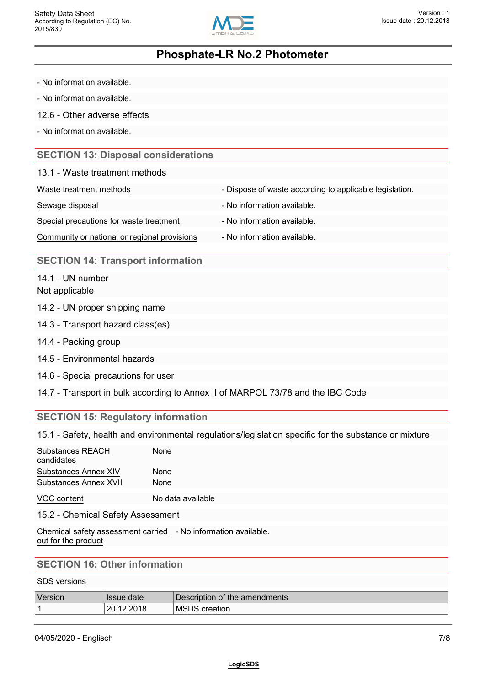

- No information available.
- No information available.
- 12.6 Other adverse effects
- No information available.

#### **SECTION 13: Disposal considerations**

#### 13.1 - Waste treatment methods

| Waste treatment methods                      | - Dispose of waste according to applicable legislation. |
|----------------------------------------------|---------------------------------------------------------|
| Sewage disposal                              | - No information available.                             |
| Special precautions for waste treatment      | - No information available.                             |
| Community or national or regional provisions | - No information available.                             |

#### **SECTION 14: Transport information**

14.1 - UN number Not applicable

- 14.2 UN proper shipping name
- 14.3 Transport hazard class(es)
- 14.4 Packing group
- 14.5 Environmental hazards
- 14.6 Special precautions for user
- 14.7 Transport in bulk according to Annex II of MARPOL 73/78 and the IBC Code

### **SECTION 15: Regulatory information**

15.1 - Safety, health and environmental regulations/legislation specific for the substance or mixture

| Substances REACH<br>candidates | None |  |  |  |
|--------------------------------|------|--|--|--|
| Substances Annex XIV           | None |  |  |  |
| Substances Annex XVII          | None |  |  |  |
|                                |      |  |  |  |

VOC content No data available

15.2 - Chemical Safety Assessment

Chemical safety assessment carried - No information available. out for the product

### **SECTION 16: Other information**

#### SDS versions

| <b>Version</b> | <b>Issue date</b>     | Description of the amendments |
|----------------|-----------------------|-------------------------------|
|                | nn.<br>12.ZUTO<br>LU. | <b>MSDS</b><br>creation       |